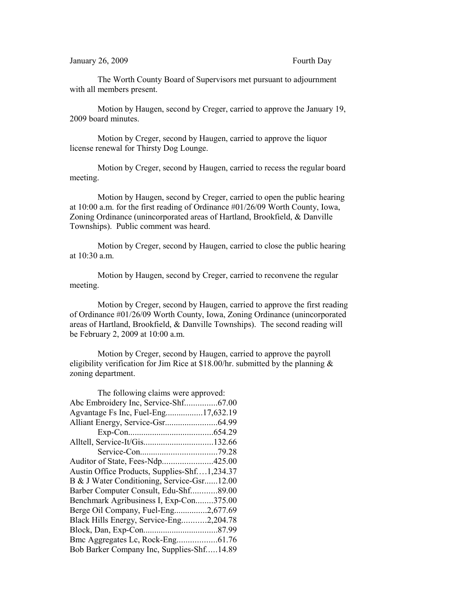The Worth County Board of Supervisors met pursuant to adjournment with all members present.

Motion by Haugen, second by Creger, carried to approve the January 19, 2009 board minutes.

Motion by Creger, second by Haugen, carried to approve the liquor license renewal for Thirsty Dog Lounge.

Motion by Creger, second by Haugen, carried to recess the regular board meeting.

Motion by Haugen, second by Creger, carried to open the public hearing at 10:00 a.m. for the first reading of Ordinance #01/26/09 Worth County, Iowa, Zoning Ordinance (unincorporated areas of Hartland, Brookfield, & Danville Townships). Public comment was heard.

Motion by Creger, second by Haugen, carried to close the public hearing at 10:30 a.m.

Motion by Haugen, second by Creger, carried to reconvene the regular meeting.

Motion by Creger, second by Haugen, carried to approve the first reading of Ordinance #01/26/09 Worth County, Iowa, Zoning Ordinance (unincorporated areas of Hartland, Brookfield, & Danville Townships). The second reading will be February 2, 2009 at 10:00 a.m.

Motion by Creger, second by Haugen, carried to approve the payroll eligibility verification for Jim Rice at \$18.00/hr. submitted by the planning  $\&$ zoning department.

| The following claims were approved:          |  |  |
|----------------------------------------------|--|--|
| Abc Embroidery Inc, Service-Shf67.00         |  |  |
|                                              |  |  |
|                                              |  |  |
|                                              |  |  |
|                                              |  |  |
|                                              |  |  |
| Auditor of State, Fees-Ndp425.00             |  |  |
| Austin Office Products, Supplies-Shf1,234.37 |  |  |
| B & J Water Conditioning, Service-Gsr12.00   |  |  |
| Barber Computer Consult, Edu-Shf89.00        |  |  |
| Benchmark Agribusiness I, Exp-Con375.00      |  |  |
| Berge Oil Company, Fuel-Eng2,677.69          |  |  |
| Black Hills Energy, Service-Eng2,204.78      |  |  |
|                                              |  |  |
|                                              |  |  |
| Bob Barker Company Inc, Supplies-Shf14.89    |  |  |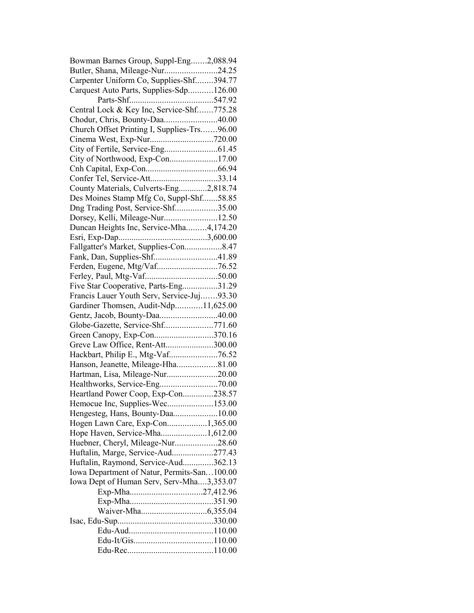| Bowman Barnes Group, Suppl-Eng2,088.94      |  |
|---------------------------------------------|--|
| Butler, Shana, Mileage-Nur24.25             |  |
| Carpenter Uniform Co, Supplies-Shf394.77    |  |
| Carquest Auto Parts, Supplies-Sdp126.00     |  |
|                                             |  |
| Central Lock & Key Inc, Service-Shf775.28   |  |
| Chodur, Chris, Bounty-Daa40.00              |  |
| Church Offset Printing I, Supplies-Trs96.00 |  |
|                                             |  |
|                                             |  |
| City of Northwood, Exp-Con17.00             |  |
|                                             |  |
|                                             |  |
| County Materials, Culverts-Eng2,818.74      |  |
| Des Moines Stamp Mfg Co, Suppl-Shf58.85     |  |
|                                             |  |
| Dng Trading Post, Service-Shf35.00          |  |
| Dorsey, Kelli, Mileage-Nur12.50             |  |
| Duncan Heights Inc, Service-Mha4,174.20     |  |
|                                             |  |
| Fallgatter's Market, Supplies-Con8.47       |  |
| Fank, Dan, Supplies-Shf41.89                |  |
|                                             |  |
|                                             |  |
| Five Star Cooperative, Parts-Eng31.29       |  |
| Francis Lauer Youth Serv, Service-Juj93.30  |  |
| Gardiner Thomsen, Audit-Ndp11,625.00        |  |
| Gentz, Jacob, Bounty-Daa40.00               |  |
| Globe-Gazette, Service-Shf771.60            |  |
| Green Canopy, Exp-Con370.16                 |  |
| Greve Law Office, Rent-Att300.00            |  |
|                                             |  |
| Hanson, Jeanette, Mileage-Hha81.00          |  |
| Hartman, Lisa, Mileage-Nur20.00             |  |
|                                             |  |
| Heartland Power Coop, Exp-Con238.57         |  |
| Hemocue Inc, Supplies-Wec153.00             |  |
|                                             |  |
| Hengesteg, Hans, Bounty-Daa10.00            |  |
| Hogen Lawn Care, Exp-Con1,365.00            |  |
| Hope Haven, Service-Mha1,612.00             |  |
| Huebner, Cheryl, Mileage-Nur28.60           |  |
| Huftalin, Marge, Service-Aud277.43          |  |
| Huftalin, Raymond, Service-Aud362.13        |  |
| Iowa Department of Natur, Permits-San100.00 |  |
| Iowa Dept of Human Serv, Serv-Mha3,353.07   |  |
|                                             |  |
|                                             |  |
|                                             |  |
|                                             |  |
|                                             |  |
|                                             |  |
|                                             |  |
|                                             |  |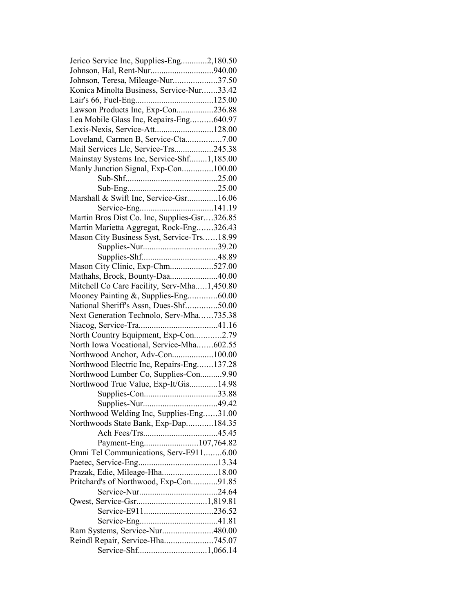| Jerico Service Inc, Supplies-Eng2,180.50     |  |
|----------------------------------------------|--|
| Johnson, Hal, Rent-Nur940.00                 |  |
| Johnson, Teresa, Mileage-Nur37.50            |  |
| Konica Minolta Business, Service-Nur33.42    |  |
|                                              |  |
| Lawson Products Inc, Exp-Con236.88           |  |
| Lea Mobile Glass Inc, Repairs-Eng640.97      |  |
| Lexis-Nexis, Service-Att128.00               |  |
| Loveland, Carmen B, Service-Cta7.00          |  |
| Mail Services Llc, Service-Trs245.38         |  |
| Mainstay Systems Inc, Service-Shf1,185.00    |  |
| Manly Junction Signal, Exp-Con100.00         |  |
|                                              |  |
|                                              |  |
| Marshall & Swift Inc, Service-Gsr16.06       |  |
|                                              |  |
| Martin Bros Dist Co. Inc, Supplies-Gsr326.85 |  |
|                                              |  |
| Martin Marietta Aggregat, Rock-Eng326.43     |  |
| Mason City Business Syst, Service-Trs18.99   |  |
|                                              |  |
|                                              |  |
| Mason City Clinic, Exp-Chm527.00             |  |
| Mathahs, Brock, Bounty-Daa40.00              |  |
| Mitchell Co Care Facility, Serv-Mha1,450.80  |  |
| Mooney Painting &, Supplies-Eng60.00         |  |
| National Sheriff's Assn, Dues-Shf50.00       |  |
| Next Generation Technolo, Serv-Mha735.38     |  |
|                                              |  |
| North Country Equipment, Exp-Con2.79         |  |
| North Iowa Vocational, Service-Mha602.55     |  |
| Northwood Anchor, Adv-Con100.00              |  |
| Northwood Electric Inc, Repairs-Eng137.28    |  |
| Northwood Lumber Co, Supplies-Con9.90        |  |
| Northwood True Value, Exp-It/Gis14.98        |  |
|                                              |  |
|                                              |  |
| Northwood Welding Inc, Supplies-Eng31.00     |  |
| Northwoods State Bank, Exp-Dap184.35         |  |
|                                              |  |
| Payment-Eng107,764.82                        |  |
| Omni Tel Communications, Serv-E9116.00       |  |
|                                              |  |
| Prazak, Edie, Mileage-Hha18.00               |  |
| Pritchard's of Northwood, Exp-Con91.85       |  |
|                                              |  |
|                                              |  |
|                                              |  |
|                                              |  |
|                                              |  |
| Ram Systems, Service-Nur480.00               |  |
| Reindl Repair, Service-Hha745.07             |  |
|                                              |  |